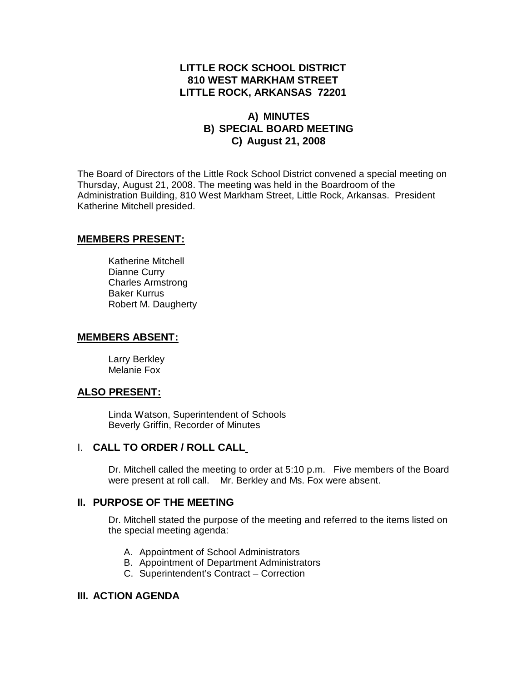# **LITTLE ROCK SCHOOL DISTRICT 810 WEST MARKHAM STREET LITTLE ROCK, ARKANSAS 72201**

# **A) MINUTES B) SPECIAL BOARD MEETING C) August 21, 2008**

The Board of Directors of the Little Rock School District convened a special meeting on Thursday, August 21, 2008. The meeting was held in the Boardroom of the Administration Building, 810 West Markham Street, Little Rock, Arkansas. President Katherine Mitchell presided.

## **MEMBERS PRESENT:**

Katherine Mitchell Dianne Curry Charles Armstrong Baker Kurrus Robert M. Daugherty

## **MEMBERS ABSENT:**

Larry Berkley Melanie Fox

## **ALSO PRESENT:**

Linda Watson, Superintendent of Schools Beverly Griffin, Recorder of Minutes

# I. **CALL TO ORDER / ROLL CALL**

Dr. Mitchell called the meeting to order at 5:10 p.m. Five members of the Board were present at roll call. Mr. Berkley and Ms. Fox were absent.

## **II. PURPOSE OF THE MEETING**

Dr. Mitchell stated the purpose of the meeting and referred to the items listed on the special meeting agenda:

- A. Appointment of School Administrators
- B. Appointment of Department Administrators
- C. Superintendent's Contract Correction

## **III. ACTION AGENDA**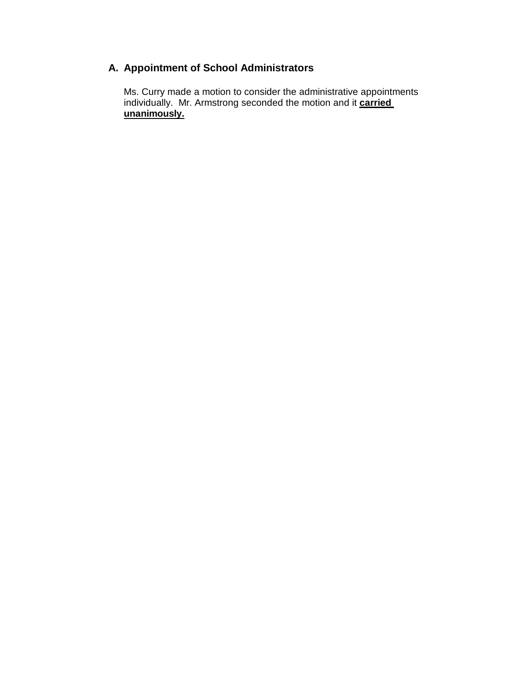# **A. Appointment of School Administrators**

Ms. Curry made a motion to consider the administrative appointments individually. Mr. Armstrong seconded the motion and it **carried** unanimously.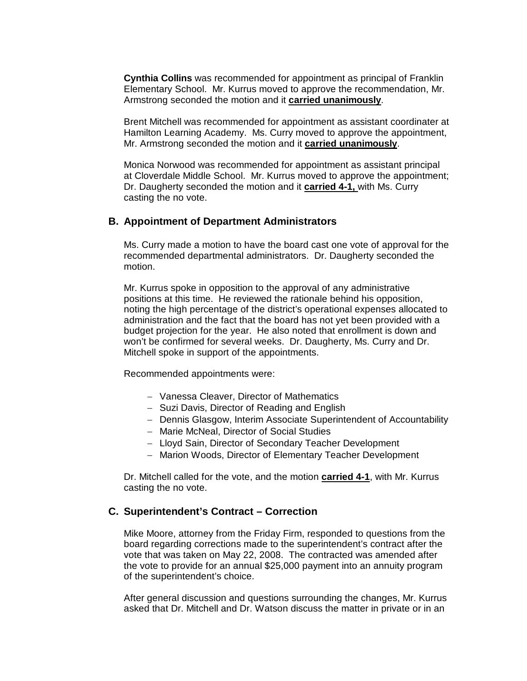**Cynthia Collins** was recommended for appointment as principal of Franklin Elementary School. Mr. Kurrus moved to approve the recommendation, Mr. Armstrong seconded the motion and it **carried unanimously**.

Brent Mitchell was recommended for appointment as assistant coordinater at Hamilton Learning Academy. Ms. Curry moved to approve the appointment, Mr. Armstrong seconded the motion and it **carried unanimously**.

Monica Norwood was recommended for appointment as assistant principal at Cloverdale Middle School. Mr. Kurrus moved to approve the appointment; Dr. Daugherty seconded the motion and it **carried 4-1,** with Ms. Curry casting the no vote.

### **B. Appointment of Department Administrators**

Ms. Curry made a motion to have the board cast one vote of approval for the recommended departmental administrators. Dr. Daugherty seconded the motion.

Mr. Kurrus spoke in opposition to the approval of any administrative positions at this time. He reviewed the rationale behind his opposition, noting the high percentage of the district's operational expenses allocated to administration and the fact that the board has not yet been provided with a budget projection for the year. He also noted that enrollment is down and won't be confirmed for several weeks. Dr. Daugherty, Ms. Curry and Dr. Mitchell spoke in support of the appointments.

Recommended appointments were:

- Vanessa Cleaver, Director of Mathematics
- Suzi Davis, Director of Reading and English
- Dennis Glasgow, Interim Associate Superintendent of Accountability
- Marie McNeal, Director of Social Studies
- Lloyd Sain, Director of Secondary Teacher Development
- Marion Woods, Director of Elementary Teacher Development

Dr. Mitchell called for the vote, and the motion **carried 4-1**, with Mr. Kurrus casting the no vote.

## **C. Superintendent's Contract – Correction**

Mike Moore, attorney from the Friday Firm, responded to questions from the board regarding corrections made to the superintendent's contract after the vote that was taken on May 22, 2008. The contracted was amended after the vote to provide for an annual \$25,000 payment into an annuity program of the superintendent's choice.

After general discussion and questions surrounding the changes, Mr. Kurrus asked that Dr. Mitchell and Dr. Watson discuss the matter in private or in an